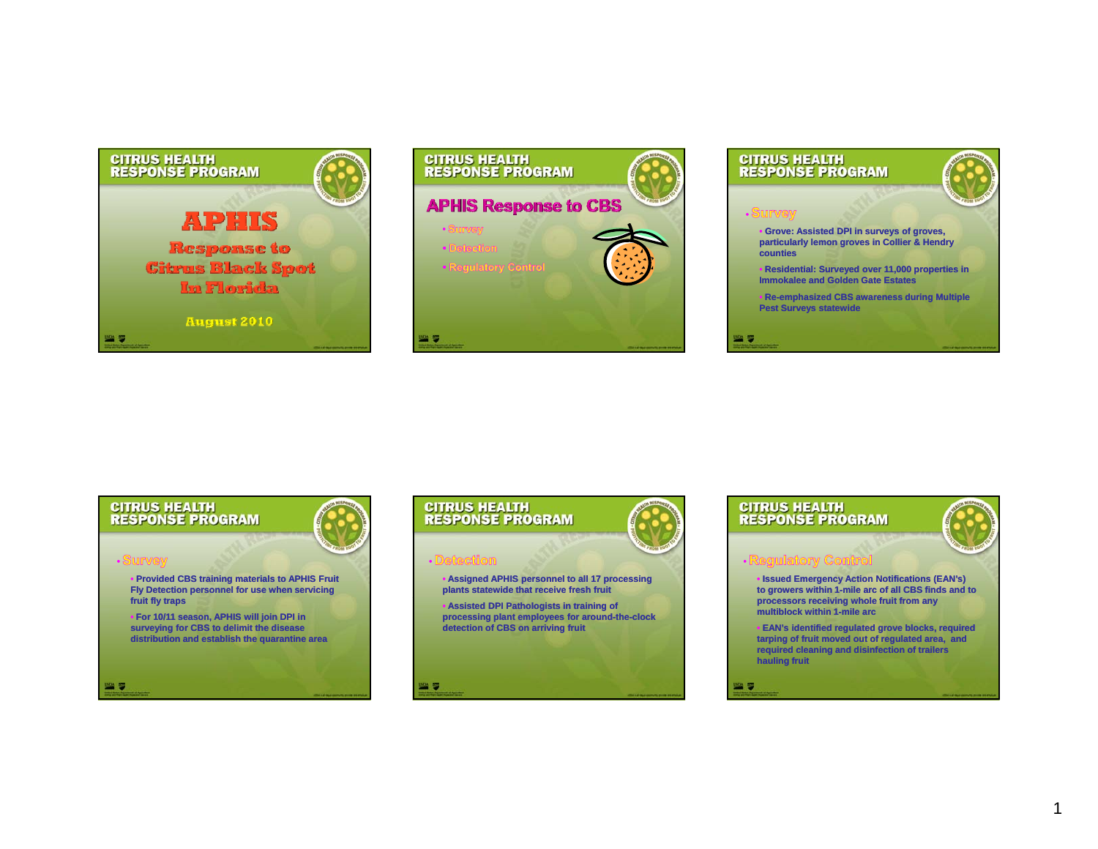



# **CITRUS HEALTH<br>RESPONSE PROGRAM Grove: Assisted DPI in surveys of groves, particularly lemon groves in Collier & Hendry counties**

• **Residential: Surveyed over 11,000 properties in Immokalee and Golden Gate Estates**

**• Re-emphasized CBS awareness during Multiple Pest Surveys statewide**

**WA 5** 





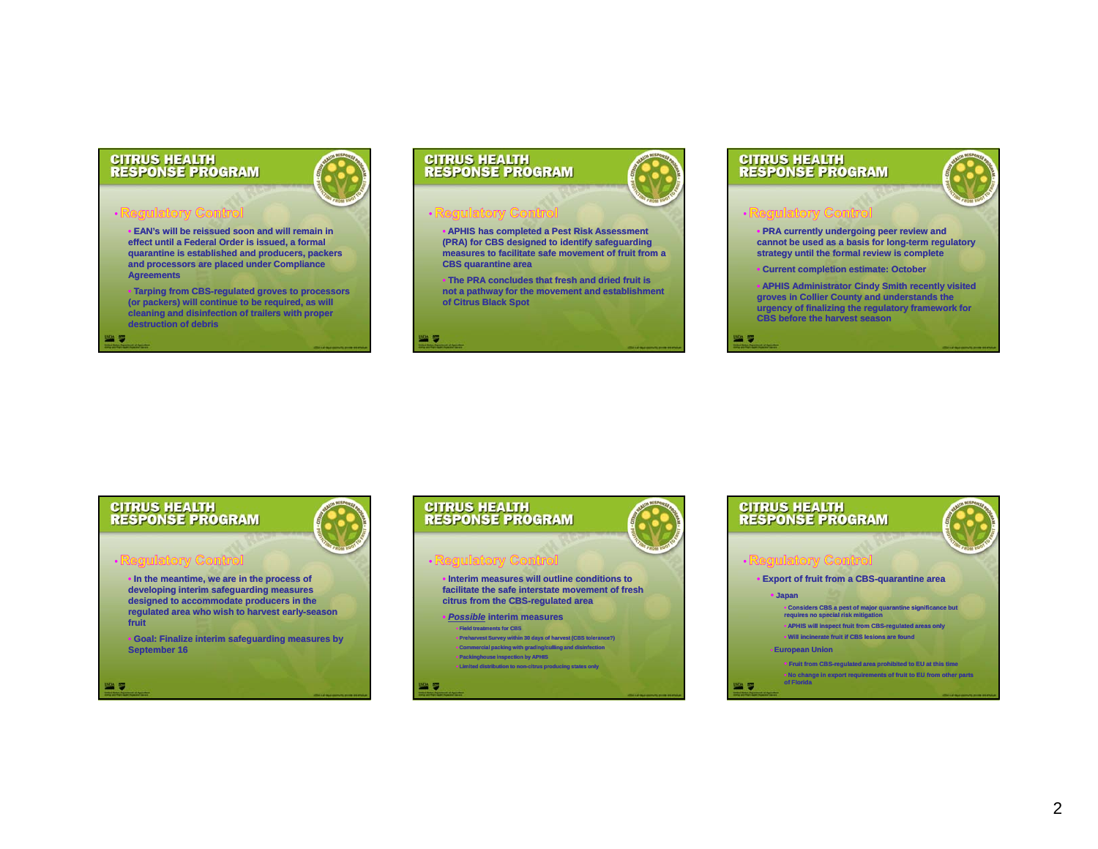### **CITRUS HEALTH RESPONSE PROGRAM**

• **EAN's will be reissued soon and will remain in effect until a Federal Order is issued, a formal quaranti i t bli h d d d k tine is established and producers, pac ucers, packers and processors are placed under Compliance Agreements**

• **Tarping from CBS CBS-regulated groves to processors regulated (or packers) will continue to be required, as will cleaning and disinfection of trailers with proper destruction of debris**

幽罗

幽る

## **CITRUS HEALTH RESPONSE PROGRAM**

₩,

• **APHIS has completed a Pest Risk Assessment (PRA) for CBS designed to identify safeguarding**  measures to facilitate safe movement of fruit from a **CBS quarantine area**

• **The PRA concludes that fresh and dried fruit is not a pathway for the movement and establishment of Citrus Black Spot**

### **CITRUS HEALTH RESPONSE PROGRAM**

**WA 5** 

 **PRA currently undergoing peer review and**  cannot be used as a basis for long-term regulatory **st t til th f l i i l t trategy until the formal review is complete**

- **Current completion estimate: October**
- **APHIS Administrator Cindy Smith recently visited groves in Collier County and understands the urgency of finalizing the regulatory framework for CBS before the harvest season**

**CITRUS HEALTH RESPONSE PROGRAM** 

• **In the meantime, we are in the process of developing interim safeguarding measures d i d t d t d i th designed to accommo o accommodate producers in the regulated area who wish to harvest early early-season fruit**

• **Goal: Finalize interim safeguarding measures by September 16**





# $\mathcal{P}$